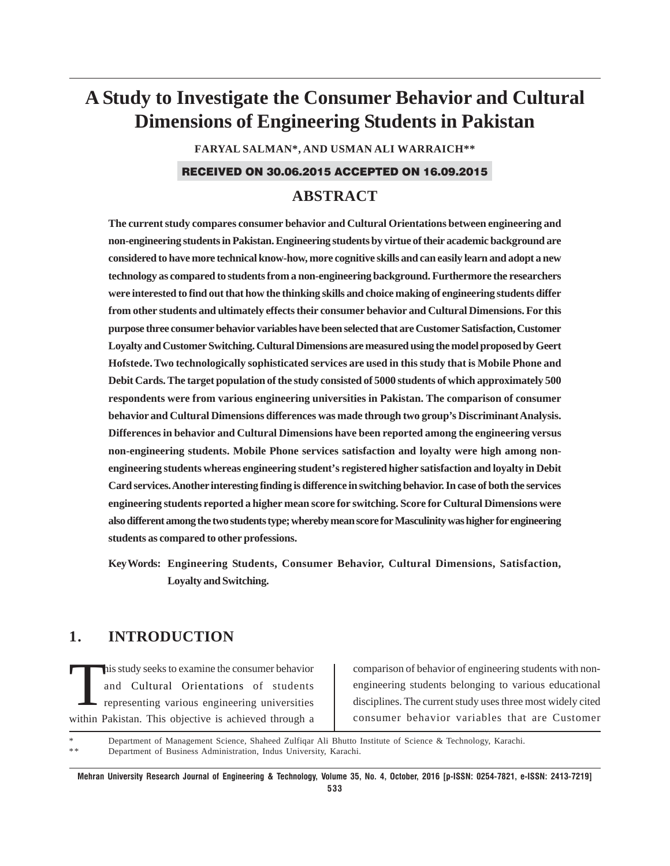# **A Study to Investigate the Consumer Behavior and Cultural Dimensions of Engineering Students in Pakistan**

**FARYAL SALMAN\*, AND USMAN ALI WARRAICH\*\***

### RECEIVED ON 30.06.2015 ACCEPTED ON 16.09.2015

# **ABSTRACT**

**The current study compares consumer behavior and Cultural Orientations between engineering and non-engineering students in Pakistan. Engineering students by virtue of their academic background are considered to have more technical know-how, more cognitive skills and can easily learn and adopt a new technology as compared to students from a non-engineering background. Furthermore the researchers were interested to find out that how the thinking skills and choice making of engineering students differ from other students and ultimately effects their consumer behavior and Cultural Dimensions. For this purpose three consumer behavior variables have been selected that are Customer Satisfaction, Customer Loyalty and Customer Switching. Cultural Dimensions are measured using the model proposed by Geert Hofstede. Two technologically sophisticated services are used in this study that is Mobile Phone and Debit Cards. The target population of the study consisted of 5000 students of which approximately 500 respondents were from various engineering universities in Pakistan. The comparison of consumer behavior and Cultural Dimensions differences was made through two group's Discriminant Analysis. Differences in behavior and Cultural Dimensions have been reported among the engineering versus non-engineering students. Mobile Phone services satisfaction and loyalty were high among nonengineering students whereas engineering student's registered higher satisfaction and loyalty in Debit Card services. Another interesting finding is difference in switching behavior. In case of both the services engineering students reported a higher mean score for switching. Score for Cultural Dimensions were also different among the two students type; whereby mean score for Masculinity was higher for engineering students as compared to other professions.**

**Key Words: Engineering Students, Consumer Behavior, Cultural Dimensions, Satisfaction, Loyalty and Switching.**

# **1. INTRODUCTION**

This study seeks to examine the consumer behavior<br>and Cultural Orientations of students<br>representing various engineering universities and Cultural Orientations of students representing various engineering universities within Pakistan. This objective is achieved through a

comparison of behavior of engineering students with nonengineering students belonging to various educational disciplines. The current study uses three most widely cited consumer behavior variables that are Customer

Department of Management Science, Shaheed Zulfiqar Ali Bhutto Institute of Science & Technology, Karachi. Department of Business Administration, Indus University, Karachi.

**Mehran University Research Journal of Engineering & Technology, Volume 35, No. 4, October, 2016 [p-ISSN: 0254-7821, e-ISSN: 2413-7219] 533**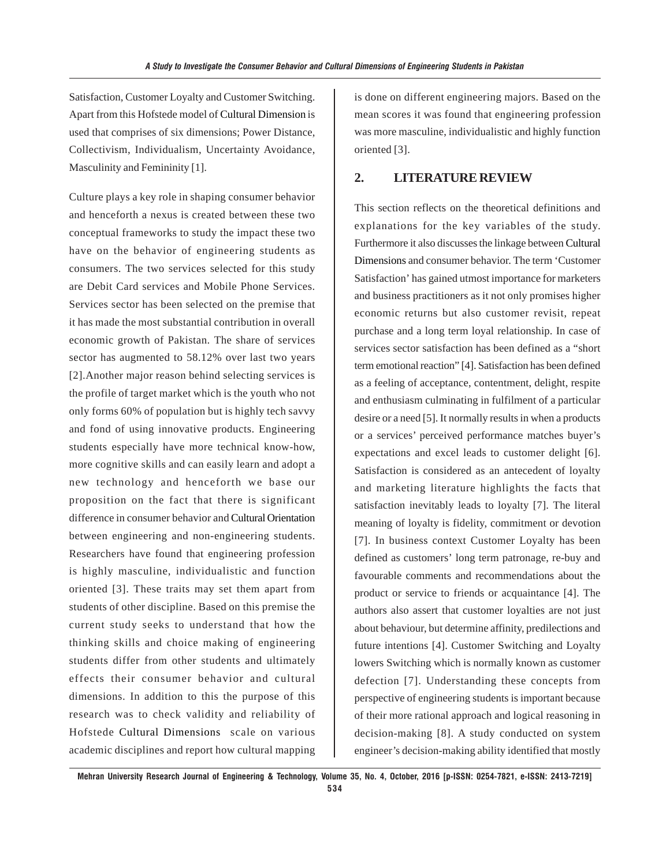Satisfaction, Customer Loyalty and Customer Switching. Apart from this Hofstede model of Cultural Dimension is used that comprises of six dimensions; Power Distance, Collectivism, Individualism, Uncertainty Avoidance, Masculinity and Femininity [1].

Culture plays a key role in shaping consumer behavior and henceforth a nexus is created between these two conceptual frameworks to study the impact these two have on the behavior of engineering students as consumers. The two services selected for this study are Debit Card services and Mobile Phone Services. Services sector has been selected on the premise that it has made the most substantial contribution in overall economic growth of Pakistan. The share of services sector has augmented to 58.12% over last two years [2].Another major reason behind selecting services is the profile of target market which is the youth who not only forms 60% of population but is highly tech savvy and fond of using innovative products. Engineering students especially have more technical know-how, more cognitive skills and can easily learn and adopt a new technology and henceforth we base our proposition on the fact that there is significant difference in consumer behavior and Cultural Orientation between engineering and non-engineering students. Researchers have found that engineering profession is highly masculine, individualistic and function oriented [3]. These traits may set them apart from students of other discipline. Based on this premise the current study seeks to understand that how the thinking skills and choice making of engineering students differ from other students and ultimately effects their consumer behavior and cultural dimensions. In addition to this the purpose of this research was to check validity and reliability of Hofstede Cultural Dimensions scale on various academic disciplines and report how cultural mapping

is done on different engineering majors. Based on the mean scores it was found that engineering profession was more masculine, individualistic and highly function oriented [3].

### **2. LITERATURE REVIEW**

This section reflects on the theoretical definitions and explanations for the key variables of the study. Furthermore it also discusses the linkage between Cultural Dimensions and consumer behavior. The term 'Customer Satisfaction' has gained utmost importance for marketers and business practitioners as it not only promises higher economic returns but also customer revisit, repeat purchase and a long term loyal relationship. In case of services sector satisfaction has been defined as a "short term emotional reaction" [4]. Satisfaction has been defined as a feeling of acceptance, contentment, delight, respite and enthusiasm culminating in fulfilment of a particular desire or a need [5]. It normally results in when a products or a services' perceived performance matches buyer's expectations and excel leads to customer delight [6]. Satisfaction is considered as an antecedent of loyalty and marketing literature highlights the facts that satisfaction inevitably leads to loyalty [7]. The literal meaning of loyalty is fidelity, commitment or devotion [7]. In business context Customer Loyalty has been defined as customers' long term patronage, re-buy and favourable comments and recommendations about the product or service to friends or acquaintance [4]. The authors also assert that customer loyalties are not just about behaviour, but determine affinity, predilections and future intentions [4]. Customer Switching and Loyalty lowers Switching which is normally known as customer defection [7]. Understanding these concepts from perspective of engineering students is important because of their more rational approach and logical reasoning in decision-making [8]. A study conducted on system engineer's decision-making ability identified that mostly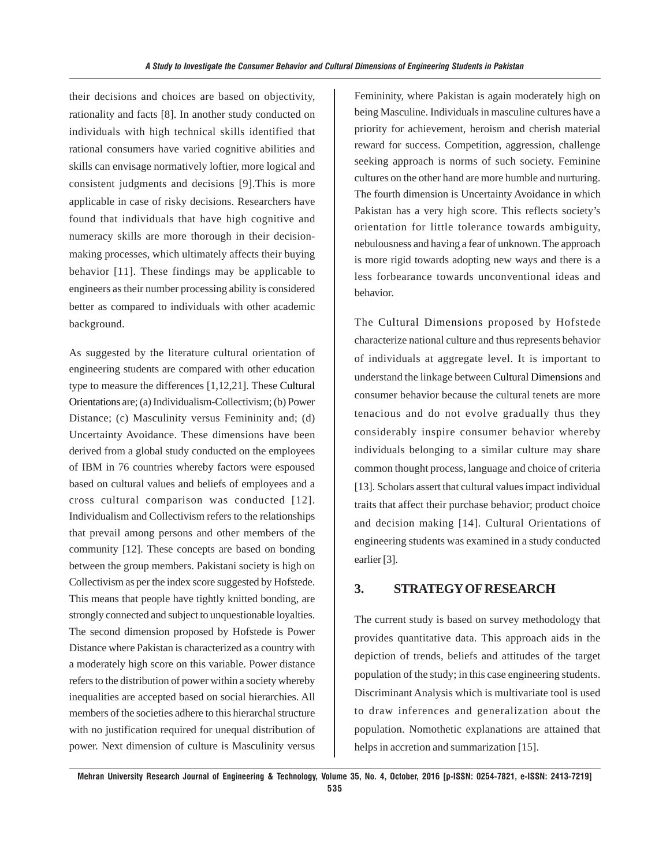their decisions and choices are based on objectivity, rationality and facts [8]. In another study conducted on individuals with high technical skills identified that rational consumers have varied cognitive abilities and skills can envisage normatively loftier, more logical and consistent judgments and decisions [9].This is more applicable in case of risky decisions. Researchers have found that individuals that have high cognitive and numeracy skills are more thorough in their decisionmaking processes, which ultimately affects their buying behavior [11]. These findings may be applicable to engineers as their number processing ability is considered better as compared to individuals with other academic background.

As suggested by the literature cultural orientation of engineering students are compared with other education type to measure the differences [1,12,21]. These Cultural Orientations are; (a) Individualism-Collectivism; (b) Power Distance; (c) Masculinity versus Femininity and; (d) Uncertainty Avoidance. These dimensions have been derived from a global study conducted on the employees of IBM in 76 countries whereby factors were espoused based on cultural values and beliefs of employees and a cross cultural comparison was conducted [12]. Individualism and Collectivism refers to the relationships that prevail among persons and other members of the community [12]. These concepts are based on bonding between the group members. Pakistani society is high on Collectivism as per the index score suggested by Hofstede. This means that people have tightly knitted bonding, are strongly connected and subject to unquestionable loyalties. The second dimension proposed by Hofstede is Power Distance where Pakistan is characterized as a country with a moderately high score on this variable. Power distance refers to the distribution of power within a society whereby inequalities are accepted based on social hierarchies. All members of the societies adhere to this hierarchal structure with no justification required for unequal distribution of power. Next dimension of culture is Masculinity versus

Femininity, where Pakistan is again moderately high on being Masculine. Individuals in masculine cultures have a priority for achievement, heroism and cherish material reward for success. Competition, aggression, challenge seeking approach is norms of such society. Feminine cultures on the other hand are more humble and nurturing. The fourth dimension is Uncertainty Avoidance in which Pakistan has a very high score. This reflects society's orientation for little tolerance towards ambiguity, nebulousness and having a fear of unknown. The approach is more rigid towards adopting new ways and there is a less forbearance towards unconventional ideas and behavior.

The Cultural Dimensions proposed by Hofstede characterize national culture and thus represents behavior of individuals at aggregate level. It is important to understand the linkage between Cultural Dimensions and consumer behavior because the cultural tenets are more tenacious and do not evolve gradually thus they considerably inspire consumer behavior whereby individuals belonging to a similar culture may share common thought process, language and choice of criteria [13]. Scholars assert that cultural values impact individual traits that affect their purchase behavior; product choice and decision making [14]. Cultural Orientations of engineering students was examined in a study conducted earlier [3].

# **3. STRATEGY OF RESEARCH**

The current study is based on survey methodology that provides quantitative data. This approach aids in the depiction of trends, beliefs and attitudes of the target population of the study; in this case engineering students. Discriminant Analysis which is multivariate tool is used to draw inferences and generalization about the population. Nomothetic explanations are attained that helps in accretion and summarization [15].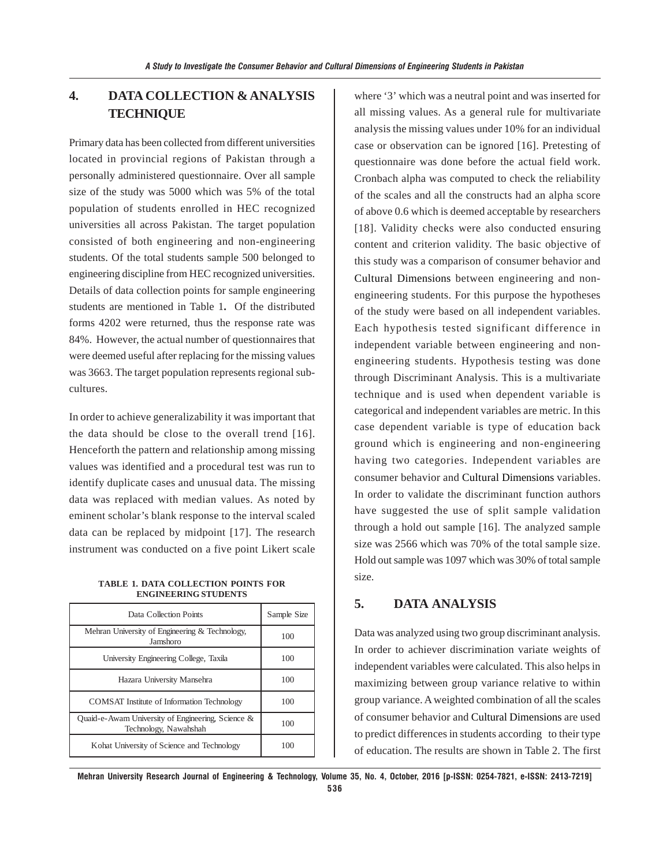# **4. DATA COLLECTION & ANALYSIS TECHNIQUE**

Primary data has been collected from different universities located in provincial regions of Pakistan through a personally administered questionnaire. Over all sample size of the study was 5000 which was 5% of the total population of students enrolled in HEC recognized universities all across Pakistan. The target population consisted of both engineering and non-engineering students. Of the total students sample 500 belonged to engineering discipline from HEC recognized universities. Details of data collection points for sample engineering students are mentioned in Table 1**.** Of the distributed forms 4202 were returned, thus the response rate was 84%. However, the actual number of questionnaires that were deemed useful after replacing for the missing values was 3663. The target population represents regional subcultures.

In order to achieve generalizability it was important that the data should be close to the overall trend [16]. Henceforth the pattern and relationship among missing values was identified and a procedural test was run to identify duplicate cases and unusual data. The missing data was replaced with median values. As noted by eminent scholar's blank response to the interval scaled data can be replaced by midpoint [17]. The research instrument was conducted on a five point Likert scale

**TABLE 1. DATA COLLECTION POINTS FOR ENGINEERING STUDENTS**

| Data Collection Points                                                     | Sample Size |
|----------------------------------------------------------------------------|-------------|
| Mehran University of Engineering & Technology,<br>Jamshoro                 | 100         |
| University Engineering College, Taxila                                     | 100         |
| Hazara University Mansehra                                                 | 100         |
| <b>COMSAT</b> Institute of Information Technology                          | 100         |
| Quaid-e-Awam University of Engineering, Science &<br>Technology, Nawahshah | 100         |
| Kohat University of Science and Technology                                 | 100         |

where '3' which was a neutral point and was inserted for all missing values. As a general rule for multivariate analysis the missing values under 10% for an individual case or observation can be ignored [16]. Pretesting of questionnaire was done before the actual field work. Cronbach alpha was computed to check the reliability of the scales and all the constructs had an alpha score of above 0.6 which is deemed acceptable by researchers [18]. Validity checks were also conducted ensuring content and criterion validity. The basic objective of this study was a comparison of consumer behavior and Cultural Dimensions between engineering and nonengineering students. For this purpose the hypotheses of the study were based on all independent variables. Each hypothesis tested significant difference in independent variable between engineering and nonengineering students. Hypothesis testing was done through Discriminant Analysis. This is a multivariate technique and is used when dependent variable is categorical and independent variables are metric. In this case dependent variable is type of education back ground which is engineering and non-engineering having two categories. Independent variables are consumer behavior and Cultural Dimensions variables. In order to validate the discriminant function authors have suggested the use of split sample validation through a hold out sample [16]. The analyzed sample size was 2566 which was 70% of the total sample size. Hold out sample was 1097 which was 30% of total sample size.

# **5. DATA ANALYSIS**

Data was analyzed using two group discriminant analysis. In order to achiever discrimination variate weights of independent variables were calculated. This also helps in maximizing between group variance relative to within group variance. A weighted combination of all the scales of consumer behavior and Cultural Dimensions are used to predict differences in students according to their type of education. The results are shown in Table 2. The first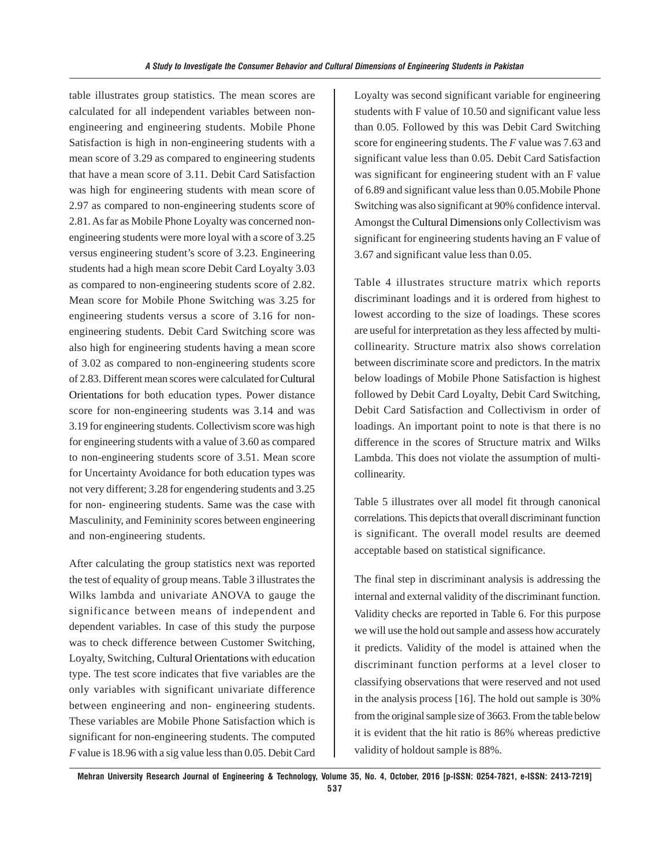table illustrates group statistics. The mean scores are calculated for all independent variables between nonengineering and engineering students. Mobile Phone Satisfaction is high in non-engineering students with a mean score of 3.29 as compared to engineering students that have a mean score of 3.11. Debit Card Satisfaction was high for engineering students with mean score of 2.97 as compared to non-engineering students score of 2.81. As far as Mobile Phone Loyalty was concerned nonengineering students were more loyal with a score of 3.25 versus engineering student's score of 3.23. Engineering students had a high mean score Debit Card Loyalty 3.03 as compared to non-engineering students score of 2.82. Mean score for Mobile Phone Switching was 3.25 for engineering students versus a score of 3.16 for nonengineering students. Debit Card Switching score was also high for engineering students having a mean score of 3.02 as compared to non-engineering students score of 2.83. Different mean scores were calculated for Cultural Orientations for both education types. Power distance score for non-engineering students was 3.14 and was 3.19 for engineering students. Collectivism score was high for engineering students with a value of 3.60 as compared to non-engineering students score of 3.51. Mean score for Uncertainty Avoidance for both education types was not very different; 3.28 for engendering students and 3.25 for non- engineering students. Same was the case with Masculinity, and Femininity scores between engineering and non-engineering students.

After calculating the group statistics next was reported the test of equality of group means. Table 3 illustrates the Wilks lambda and univariate ANOVA to gauge the significance between means of independent and dependent variables. In case of this study the purpose was to check difference between Customer Switching, Loyalty, Switching, Cultural Orientations with education type. The test score indicates that five variables are the only variables with significant univariate difference between engineering and non- engineering students. These variables are Mobile Phone Satisfaction which is significant for non-engineering students. The computed *F* value is 18.96 with a sig value less than 0.05. Debit Card Loyalty was second significant variable for engineering students with F value of 10.50 and significant value less than 0.05. Followed by this was Debit Card Switching score for engineering students. The *F* value was 7.63 and significant value less than 0.05. Debit Card Satisfaction was significant for engineering student with an F value of 6.89 and significant value less than 0.05.Mobile Phone Switching was also significant at 90% confidence interval. Amongst the Cultural Dimensions only Collectivism was significant for engineering students having an F value of 3.67 and significant value less than 0.05.

Table 4 illustrates structure matrix which reports discriminant loadings and it is ordered from highest to lowest according to the size of loadings. These scores are useful for interpretation as they less affected by multicollinearity. Structure matrix also shows correlation between discriminate score and predictors. In the matrix below loadings of Mobile Phone Satisfaction is highest followed by Debit Card Loyalty, Debit Card Switching, Debit Card Satisfaction and Collectivism in order of loadings. An important point to note is that there is no difference in the scores of Structure matrix and Wilks Lambda. This does not violate the assumption of multicollinearity.

Table 5 illustrates over all model fit through canonical correlations. This depicts that overall discriminant function is significant. The overall model results are deemed acceptable based on statistical significance.

The final step in discriminant analysis is addressing the internal and external validity of the discriminant function. Validity checks are reported in Table 6. For this purpose we will use the hold out sample and assess how accurately it predicts. Validity of the model is attained when the discriminant function performs at a level closer to classifying observations that were reserved and not used in the analysis process [16]. The hold out sample is 30% from the original sample size of 3663. From the table below it is evident that the hit ratio is 86% whereas predictive validity of holdout sample is 88%.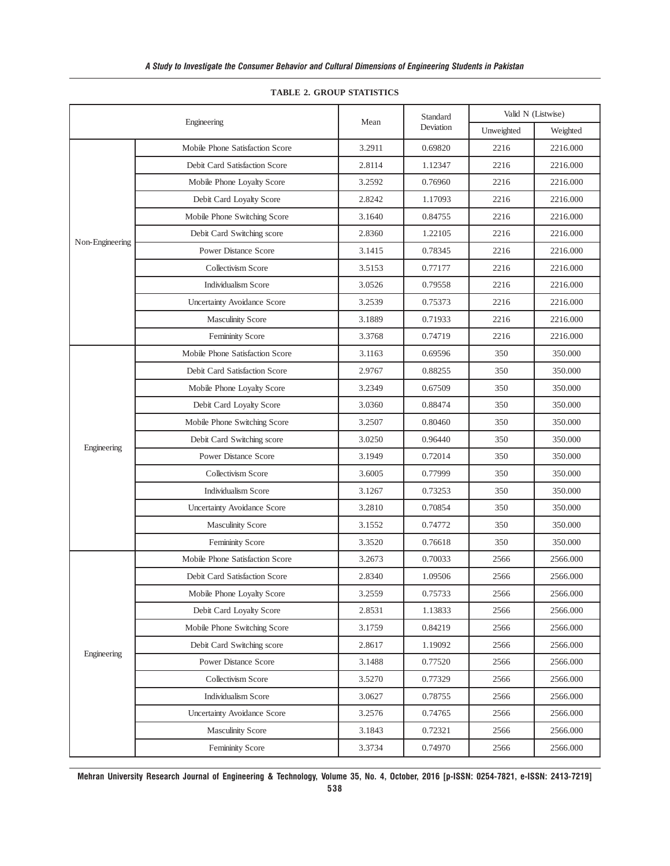|                 |                                 |        | Standard  | Valid N (Listwise) |          |
|-----------------|---------------------------------|--------|-----------|--------------------|----------|
|                 | Engineering                     | Mean   | Deviation | Unweighted         | Weighted |
|                 | Mobile Phone Satisfaction Score | 3.2911 | 0.69820   | 2216               | 2216.000 |
|                 | Debit Card Satisfaction Score   | 2.8114 | 1.12347   | 2216               | 2216.000 |
|                 | Mobile Phone Loyalty Score      | 3.2592 | 0.76960   | 2216               | 2216.000 |
|                 | Debit Card Loyalty Score        | 2.8242 | 1.17093   | 2216               | 2216.000 |
|                 | Mobile Phone Switching Score    | 3.1640 | 0.84755   | 2216               | 2216.000 |
|                 | Debit Card Switching score      | 2.8360 | 1.22105   | 2216               | 2216.000 |
| Non-Engineering | <b>Power Distance Score</b>     | 3.1415 | 0.78345   | 2216               | 2216.000 |
|                 | Collectivism Score              | 3.5153 | 0.77177   | 2216               | 2216.000 |
|                 | <b>Individualism Score</b>      | 3.0526 | 0.79558   | 2216               | 2216.000 |
|                 | Uncertainty Avoidance Score     | 3.2539 | 0.75373   | 2216               | 2216.000 |
|                 | <b>Masculinity Score</b>        | 3.1889 | 0.71933   | 2216               | 2216.000 |
|                 | Femininity Score                | 3.3768 | 0.74719   | 2216               | 2216.000 |
|                 | Mobile Phone Satisfaction Score | 3.1163 | 0.69596   | 350                | 350.000  |
|                 | Debit Card Satisfaction Score   | 2.9767 | 0.88255   | 350                | 350.000  |
|                 | Mobile Phone Loyalty Score      | 3.2349 | 0.67509   | 350                | 350.000  |
|                 | Debit Card Loyalty Score        | 3.0360 | 0.88474   | 350                | 350.000  |
|                 | Mobile Phone Switching Score    | 3.2507 | 0.80460   | 350                | 350.000  |
| Engineering     | Debit Card Switching score      | 3.0250 | 0.96440   | 350                | 350.000  |
|                 | <b>Power Distance Score</b>     | 3.1949 | 0.72014   | 350                | 350.000  |
|                 | Collectivism Score              | 3.6005 | 0.77999   | 350                | 350.000  |
|                 | <b>Individualism Score</b>      | 3.1267 | 0.73253   | 350                | 350.000  |
|                 | Uncertainty Avoidance Score     | 3.2810 | 0.70854   | 350                | 350.000  |
|                 | <b>Masculinity Score</b>        | 3.1552 | 0.74772   | 350                | 350.000  |
|                 | Femininity Score                | 3.3520 | 0.76618   | 350                | 350.000  |
|                 | Mobile Phone Satisfaction Score | 3.2673 | 0.70033   | 2566               | 2566.000 |
|                 | Debit Card Satisfaction Score   | 2.8340 | 1.09506   | 2566               | 2566.000 |
|                 | Mobile Phone Loyalty Score      | 3.2559 | 0.75733   | 2566               | 2566.000 |
|                 | Debit Card Loyalty Score        | 2.8531 | 1.13833   | 2566               | 2566.000 |
| Engineering     | Mobile Phone Switching Score    | 3.1759 | 0.84219   | 2566               | 2566.000 |
|                 | Debit Card Switching score      | 2.8617 | 1.19092   | 2566               | 2566.000 |
|                 | Power Distance Score            | 3.1488 | 0.77520   | 2566               | 2566.000 |
|                 | Collectivism Score              | 3.5270 | 0.77329   | 2566               | 2566.000 |
|                 | Individualism Score             | 3.0627 | 0.78755   | 2566               | 2566.000 |
|                 | Uncertainty Avoidance Score     | 3.2576 | 0.74765   | 2566               | 2566.000 |
|                 | <b>Masculinity Score</b>        | 3.1843 | 0.72321   | 2566               | 2566.000 |
|                 | Femininity Score                | 3.3734 | 0.74970   | 2566               | 2566.000 |

#### **TABLE 2. GROUP STATISTICS**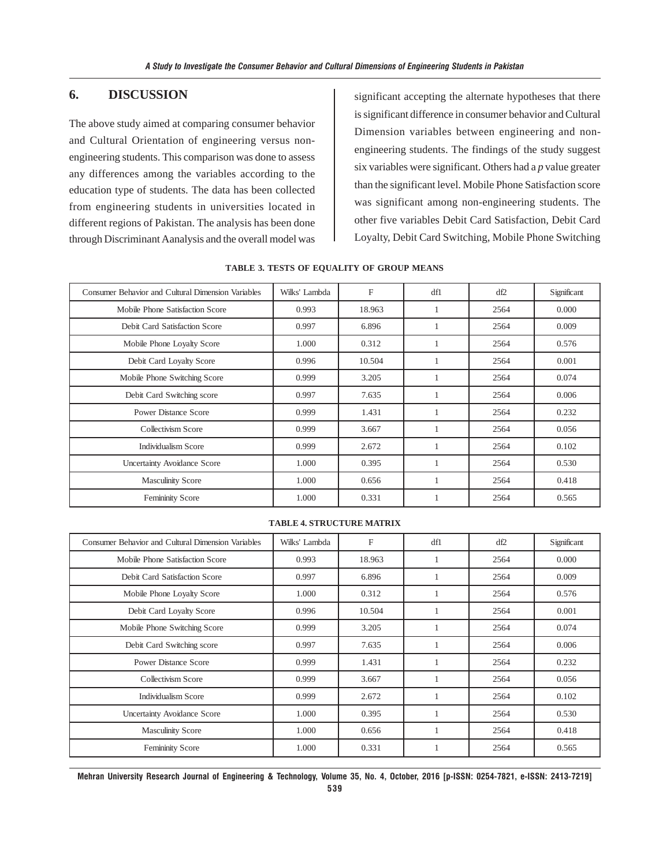# **6. DISCUSSION**

The above study aimed at comparing consumer behavior and Cultural Orientation of engineering versus nonengineering students. This comparison was done to assess any differences among the variables according to the education type of students. The data has been collected from engineering students in universities located in different regions of Pakistan. The analysis has been done through Discriminant Aanalysis and the overall model was

significant accepting the alternate hypotheses that there is significant difference in consumer behavior and Cultural Dimension variables between engineering and nonengineering students. The findings of the study suggest six variables were significant. Others had a *p* value greater than the significant level. Mobile Phone Satisfaction score was significant among non-engineering students. The other five variables Debit Card Satisfaction, Debit Card Loyalty, Debit Card Switching, Mobile Phone Switching

| Consumer Behavior and Cultural Dimension Variables | Wilks' Lambda | F      | dfl | df2  | Significant |
|----------------------------------------------------|---------------|--------|-----|------|-------------|
| Mobile Phone Satisfaction Score                    | 0.993         | 18.963 |     | 2564 | 0.000       |
| Debit Card Satisfaction Score                      | 0.997         | 6.896  |     | 2564 | 0.009       |
| Mobile Phone Loyalty Score                         | 1.000         | 0.312  |     | 2564 | 0.576       |
| Debit Card Loyalty Score                           | 0.996         | 10.504 |     | 2564 | 0.001       |
| Mobile Phone Switching Score                       | 0.999         | 3.205  |     | 2564 | 0.074       |
| Debit Card Switching score                         | 0.997         | 7.635  |     | 2564 | 0.006       |
| <b>Power Distance Score</b>                        | 0.999         | 1.431  |     | 2564 | 0.232       |
| Collectivism Score                                 | 0.999         | 3.667  |     | 2564 | 0.056       |
| <b>Individualism Score</b>                         | 0.999         | 2.672  |     | 2564 | 0.102       |
| Uncertainty Avoidance Score                        | 1.000         | 0.395  |     | 2564 | 0.530       |
| <b>Masculinity Score</b>                           | 1.000         | 0.656  |     | 2564 | 0.418       |
| Femininity Score                                   | 1.000         | 0.331  |     | 2564 | 0.565       |

#### **TABLE 3. TESTS OF EQUALITY OF GROUP MEANS**

#### **TABLE 4. STRUCTURE MATRIX**

| Consumer Behavior and Cultural Dimension Variables | Wilks' Lambda | F      | dfl | df2  | Significant |
|----------------------------------------------------|---------------|--------|-----|------|-------------|
| Mobile Phone Satisfaction Score                    | 0.993         | 18.963 |     | 2564 | 0.000       |
| Debit Card Satisfaction Score                      | 0.997         | 6.896  |     | 2564 | 0.009       |
| Mobile Phone Loyalty Score                         | 1.000         | 0.312  |     | 2564 | 0.576       |
| Debit Card Loyalty Score                           | 0.996         | 10.504 |     | 2564 | 0.001       |
| Mobile Phone Switching Score                       | 0.999         | 3.205  |     | 2564 | 0.074       |
| Debit Card Switching score                         | 0.997         | 7.635  |     | 2564 | 0.006       |
| <b>Power Distance Score</b>                        | 0.999         | 1.431  |     | 2564 | 0.232       |
| Collectivism Score                                 | 0.999         | 3.667  |     | 2564 | 0.056       |
| <b>Individualism Score</b>                         | 0.999         | 2.672  |     | 2564 | 0.102       |
| <b>Uncertainty Avoidance Score</b>                 | 1.000         | 0.395  |     | 2564 | 0.530       |
| <b>Masculinity Score</b>                           | 1.000         | 0.656  |     | 2564 | 0.418       |
| Femininity Score                                   | 1.000         | 0.331  |     | 2564 | 0.565       |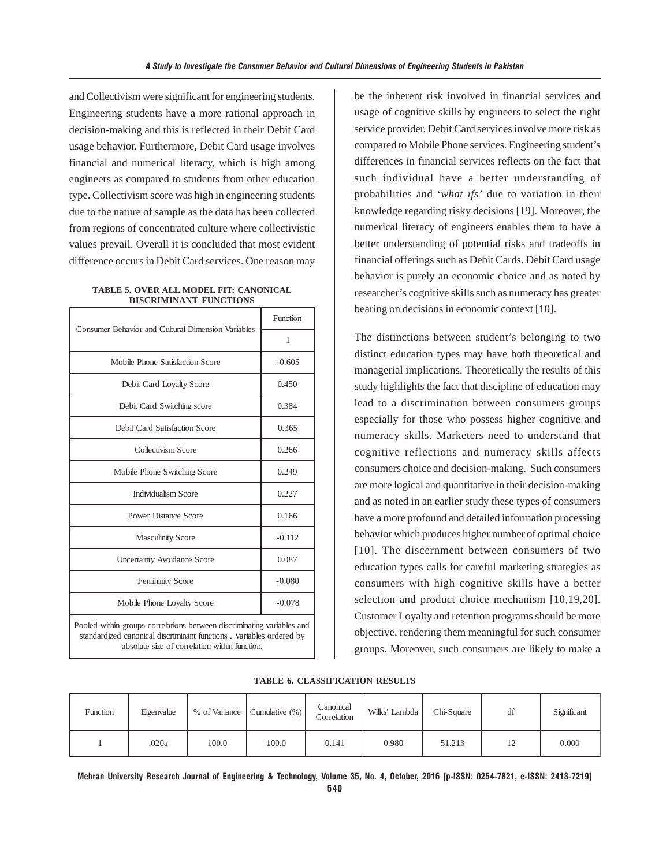and Collectivism were significant for engineering students. Engineering students have a more rational approach in decision-making and this is reflected in their Debit Card usage behavior. Furthermore, Debit Card usage involves financial and numerical literacy, which is high among engineers as compared to students from other education type. Collectivism score was high in engineering students due to the nature of sample as the data has been collected from regions of concentrated culture where collectivistic values prevail. Overall it is concluded that most evident difference occurs in Debit Card services. One reason may

**TABLE 5. OVER ALL MODEL FIT: CANONICAL DISCRIMINANT FUNCTIONS**

| <b>Consumer Behavior and Cultural Dimension Variables</b>                                                                                                                                      | Function |  |  |
|------------------------------------------------------------------------------------------------------------------------------------------------------------------------------------------------|----------|--|--|
|                                                                                                                                                                                                | 1        |  |  |
| Mobile Phone Satisfaction Score                                                                                                                                                                | $-0.605$ |  |  |
| Debit Card Loyalty Score                                                                                                                                                                       | 0.450    |  |  |
| Debit Card Switching score                                                                                                                                                                     | 0.384    |  |  |
| Debit Card Satisfaction Score                                                                                                                                                                  | 0.365    |  |  |
| Collectivism Score                                                                                                                                                                             | 0.266    |  |  |
| Mobile Phone Switching Score                                                                                                                                                                   | 0.249    |  |  |
| <b>Individualism Score</b>                                                                                                                                                                     | 0.227    |  |  |
| <b>Power Distance Score</b>                                                                                                                                                                    | 0.166    |  |  |
| <b>Masculinity Score</b>                                                                                                                                                                       | $-0.112$ |  |  |
| <b>Uncertainty Avoidance Score</b>                                                                                                                                                             | 0.087    |  |  |
| <b>Femininity Score</b>                                                                                                                                                                        | $-0.080$ |  |  |
| Mobile Phone Loyalty Score                                                                                                                                                                     | $-0.078$ |  |  |
| Pooled within-groups correlations between discriminating variables and<br>standardized canonical discriminant functions. Variables ordered by<br>absolute size of correlation within function. |          |  |  |

be the inherent risk involved in financial services and usage of cognitive skills by engineers to select the right service provider. Debit Card services involve more risk as compared to Mobile Phone services. Engineering student's differences in financial services reflects on the fact that such individual have a better understanding of probabilities and '*what ifs'* due to variation in their knowledge regarding risky decisions [19]. Moreover, the numerical literacy of engineers enables them to have a better understanding of potential risks and tradeoffs in financial offerings such as Debit Cards. Debit Card usage behavior is purely an economic choice and as noted by researcher's cognitive skills such as numeracy has greater bearing on decisions in economic context [10].

The distinctions between student's belonging to two distinct education types may have both theoretical and managerial implications. Theoretically the results of this study highlights the fact that discipline of education may lead to a discrimination between consumers groups especially for those who possess higher cognitive and numeracy skills. Marketers need to understand that cognitive reflections and numeracy skills affects consumers choice and decision-making. Such consumers are more logical and quantitative in their decision-making and as noted in an earlier study these types of consumers have a more profound and detailed information processing behavior which produces higher number of optimal choice [10]. The discernment between consumers of two education types calls for careful marketing strategies as consumers with high cognitive skills have a better selection and product choice mechanism [10,19,20]. Customer Loyalty and retention programs should be more objective, rendering them meaningful for such consumer groups. Moreover, such consumers are likely to make a

|  | <b>TABLE 6. CLASSIFICATION RESULTS</b> |  |
|--|----------------------------------------|--|
|--|----------------------------------------|--|

| Function | Eigenvalue |       | % of Variance Cumulative (%) | Canonical<br>Correlation | Wilks' Lambda | Chi-Square | df | Significant |
|----------|------------|-------|------------------------------|--------------------------|---------------|------------|----|-------------|
|          | .020a      | 100.0 | 100.0                        | 0.141                    | 0.980         | 51.213     |    | 0.000       |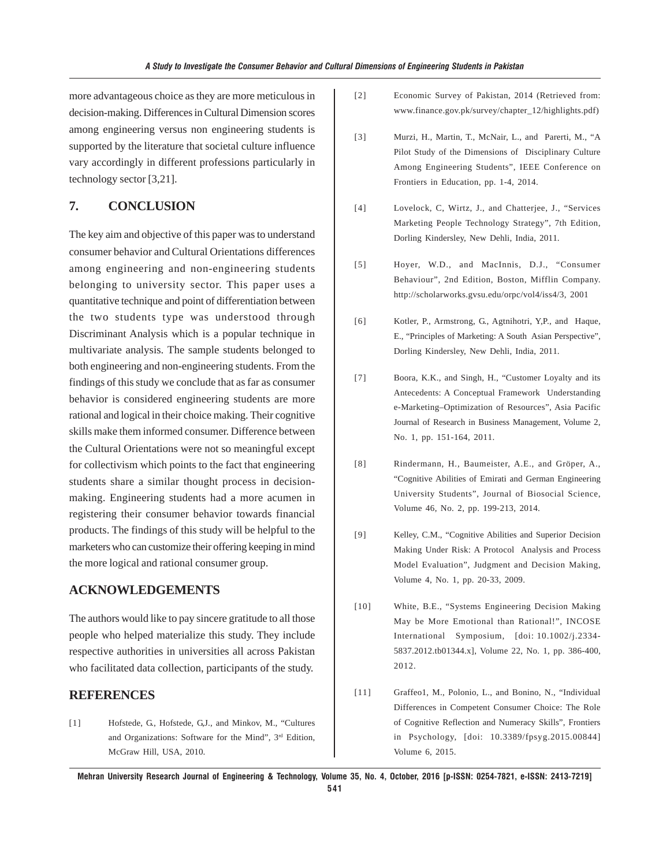more advantageous choice as they are more meticulous in decision-making. Differences in Cultural Dimension scores among engineering versus non engineering students is supported by the literature that societal culture influence vary accordingly in different professions particularly in technology sector [3,21].

# **7. CONCLUSION**

The key aim and objective of this paper was to understand consumer behavior and Cultural Orientations differences among engineering and non-engineering students belonging to university sector. This paper uses a quantitative technique and point of differentiation between the two students type was understood through Discriminant Analysis which is a popular technique in multivariate analysis. The sample students belonged to both engineering and non-engineering students. From the findings of this study we conclude that as far as consumer behavior is considered engineering students are more rational and logical in their choice making. Their cognitive skills make them informed consumer. Difference between the Cultural Orientations were not so meaningful except for collectivism which points to the fact that engineering students share a similar thought process in decisionmaking. Engineering students had a more acumen in registering their consumer behavior towards financial products. The findings of this study will be helpful to the marketers who can customize their offering keeping in mind the more logical and rational consumer group.

## **ACKNOWLEDGEMENTS**

The authors would like to pay sincere gratitude to all those people who helped materialize this study. They include respective authorities in universities all across Pakistan who facilitated data collection, participants of the study.

### **REFERENCES**

[1] Hofstede, G., Hofstede, G,J., and Minkov, M., "Cultures and Organizations: Software for the Mind", 3rd Edition, McGraw Hill, USA, 2010.

- [2] Economic Survey of Pakistan, 2014 (Retrieved from: www.finance.gov.pk/survey/chapter\_12/highlights.pdf)
- [3] Murzi, H., Martin, T., McNair, L., and Parerti, M., "A Pilot Study of the Dimensions of Disciplinary Culture Among Engineering Students", IEEE Conference on Frontiers in Education, pp. 1-4, 2014.
- [4] Lovelock, C, Wirtz, J., and Chatterjee, J., "Services Marketing People Technology Strategy", 7th Edition, Dorling Kindersley, New Dehli, India, 2011.
- [5] Hoyer, W.D., and MacInnis, D.J., "Consumer Behaviour", 2nd Edition, Boston, Mifflin Company. http://scholarworks.gvsu.edu/orpc/vol4/iss4/3, 2001
- [6] Kotler, P., Armstrong, G., Agtnihotri, Y,P., and Haque, E., "Principles of Marketing: A South Asian Perspective", Dorling Kindersley, New Dehli, India, 2011.
- [7] Boora, K.K., and Singh, H., "Customer Loyalty and its Antecedents: A Conceptual Framework Understanding e-Marketing–Optimization of Resources", Asia Pacific Journal of Research in Business Management, Volume 2, No. 1, pp. 151-164, 2011.
- [8] Rindermann, H., Baumeister, A.E., and Gröper, A., "Cognitive Abilities of Emirati and German Engineering University Students", Journal of Biosocial Science, Volume 46, No. 2, pp. 199-213, 2014.
- [9] Kelley, C.M., "Cognitive Abilities and Superior Decision Making Under Risk: A Protocol Analysis and Process Model Evaluation", Judgment and Decision Making, Volume 4, No. 1, pp. 20-33, 2009.
- [10] White, B.E., "Systems Engineering Decision Making May be More Emotional than Rational!", INCOSE International Symposium, [doi: 10.1002/j.2334- 5837.2012.tb01344.x], Volume 22, No. 1, pp. 386-400, 2012.
- [11] Graffeo1, M., Polonio, L., and Bonino, N., "Individual Differences in Competent Consumer Choice: The Role of Cognitive Reflection and Numeracy Skills", Frontiers in Psychology, [doi: 10.3389/fpsyg.2015.00844] Volume 6, 2015.